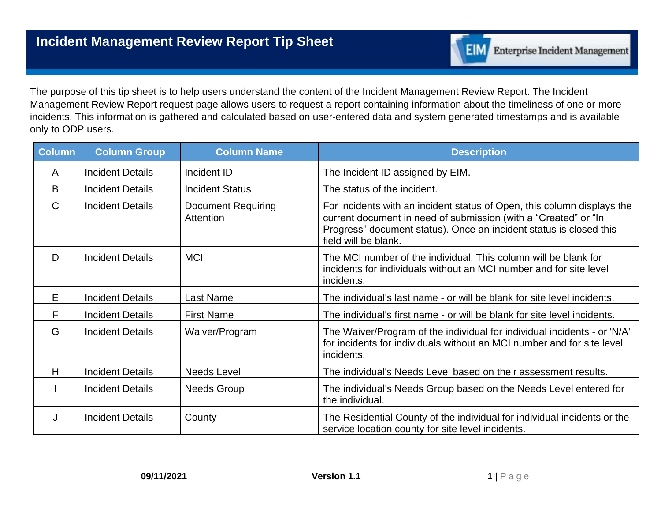

The purpose of this tip sheet is to help users understand the content of the Incident Management Review Report. The Incident Management Review Report request page allows users to request a report containing information about the timeliness of one or more incidents. This information is gathered and calculated based on user-entered data and system generated timestamps and is available only to ODP users.

| <b>Column</b> | <b>Column Group</b>     | <b>Column Name</b>                     | <b>Description</b>                                                                                                                                                                                                                       |
|---------------|-------------------------|----------------------------------------|------------------------------------------------------------------------------------------------------------------------------------------------------------------------------------------------------------------------------------------|
| A             | <b>Incident Details</b> | Incident ID                            | The Incident ID assigned by EIM.                                                                                                                                                                                                         |
| B             | <b>Incident Details</b> | <b>Incident Status</b>                 | The status of the incident.                                                                                                                                                                                                              |
| $\mathsf{C}$  | <b>Incident Details</b> | <b>Document Requiring</b><br>Attention | For incidents with an incident status of Open, this column displays the<br>current document in need of submission (with a "Created" or "In<br>Progress" document status). Once an incident status is closed this<br>field will be blank. |
| D             | <b>Incident Details</b> | <b>MCI</b>                             | The MCI number of the individual. This column will be blank for<br>incidents for individuals without an MCI number and for site level<br>incidents.                                                                                      |
| E             | <b>Incident Details</b> | Last Name                              | The individual's last name - or will be blank for site level incidents.                                                                                                                                                                  |
| F             | <b>Incident Details</b> | <b>First Name</b>                      | The individual's first name - or will be blank for site level incidents.                                                                                                                                                                 |
| G             | <b>Incident Details</b> | Waiver/Program                         | The Waiver/Program of the individual for individual incidents - or 'N/A'<br>for incidents for individuals without an MCI number and for site level<br>incidents.                                                                         |
| H             | <b>Incident Details</b> | <b>Needs Level</b>                     | The individual's Needs Level based on their assessment results.                                                                                                                                                                          |
|               | <b>Incident Details</b> | <b>Needs Group</b>                     | The individual's Needs Group based on the Needs Level entered for<br>the individual.                                                                                                                                                     |
| J             | <b>Incident Details</b> | County                                 | The Residential County of the individual for individual incidents or the<br>service location county for site level incidents.                                                                                                            |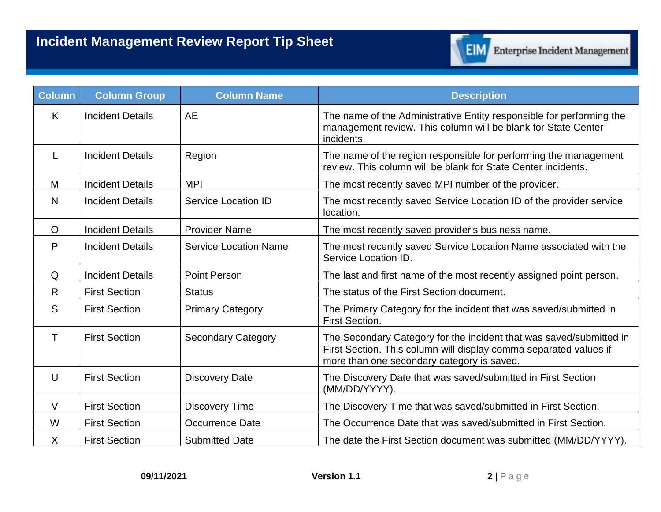

| <b>Column</b> | <b>Column Group</b>     | <b>Column Name</b>           | <b>Description</b>                                                                                                                                                                     |
|---------------|-------------------------|------------------------------|----------------------------------------------------------------------------------------------------------------------------------------------------------------------------------------|
| K             | <b>Incident Details</b> | <b>AE</b>                    | The name of the Administrative Entity responsible for performing the<br>management review. This column will be blank for State Center<br>incidents.                                    |
| L             | <b>Incident Details</b> | Region                       | The name of the region responsible for performing the management<br>review. This column will be blank for State Center incidents.                                                      |
| M             | <b>Incident Details</b> | <b>MPI</b>                   | The most recently saved MPI number of the provider.                                                                                                                                    |
| N             | <b>Incident Details</b> | <b>Service Location ID</b>   | The most recently saved Service Location ID of the provider service<br>location.                                                                                                       |
| $\circ$       | <b>Incident Details</b> | <b>Provider Name</b>         | The most recently saved provider's business name.                                                                                                                                      |
| P             | <b>Incident Details</b> | <b>Service Location Name</b> | The most recently saved Service Location Name associated with the<br>Service Location ID.                                                                                              |
| Q             | <b>Incident Details</b> | <b>Point Person</b>          | The last and first name of the most recently assigned point person.                                                                                                                    |
| R             | <b>First Section</b>    | <b>Status</b>                | The status of the First Section document.                                                                                                                                              |
| S             | <b>First Section</b>    | <b>Primary Category</b>      | The Primary Category for the incident that was saved/submitted in<br><b>First Section.</b>                                                                                             |
| T             | <b>First Section</b>    | <b>Secondary Category</b>    | The Secondary Category for the incident that was saved/submitted in<br>First Section. This column will display comma separated values if<br>more than one secondary category is saved. |
| U             | <b>First Section</b>    | <b>Discovery Date</b>        | The Discovery Date that was saved/submitted in First Section<br>(MM/DD/YYYY).                                                                                                          |
| $\vee$        | <b>First Section</b>    | <b>Discovery Time</b>        | The Discovery Time that was saved/submitted in First Section.                                                                                                                          |
| W             | <b>First Section</b>    | Occurrence Date              | The Occurrence Date that was saved/submitted in First Section.                                                                                                                         |
| X             | <b>First Section</b>    | <b>Submitted Date</b>        | The date the First Section document was submitted (MM/DD/YYYY).                                                                                                                        |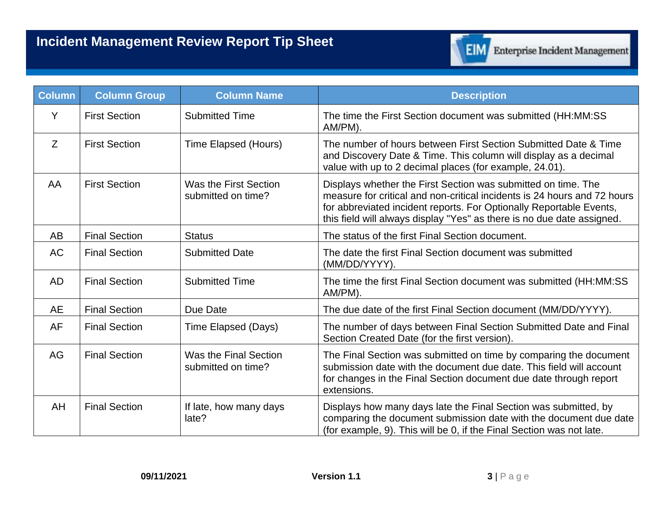

| Column    | <b>Column Group</b>  | <b>Column Name</b>                          | <b>Description</b>                                                                                                                                                                                                                                                                         |
|-----------|----------------------|---------------------------------------------|--------------------------------------------------------------------------------------------------------------------------------------------------------------------------------------------------------------------------------------------------------------------------------------------|
| Y         | <b>First Section</b> | <b>Submitted Time</b>                       | The time the First Section document was submitted (HH:MM:SS<br>AM/PM).                                                                                                                                                                                                                     |
| Z         | <b>First Section</b> | Time Elapsed (Hours)                        | The number of hours between First Section Submitted Date & Time<br>and Discovery Date & Time. This column will display as a decimal<br>value with up to 2 decimal places (for example, 24.01).                                                                                             |
| AA        | <b>First Section</b> | Was the First Section<br>submitted on time? | Displays whether the First Section was submitted on time. The<br>measure for critical and non-critical incidents is 24 hours and 72 hours<br>for abbreviated incident reports. For Optionally Reportable Events,<br>this field will always display "Yes" as there is no due date assigned. |
| AB        | <b>Final Section</b> | <b>Status</b>                               | The status of the first Final Section document.                                                                                                                                                                                                                                            |
| <b>AC</b> | <b>Final Section</b> | <b>Submitted Date</b>                       | The date the first Final Section document was submitted<br>(MM/DD/YYYY).                                                                                                                                                                                                                   |
| <b>AD</b> | <b>Final Section</b> | <b>Submitted Time</b>                       | The time the first Final Section document was submitted (HH:MM:SS<br>AM/PM).                                                                                                                                                                                                               |
| <b>AE</b> | <b>Final Section</b> | Due Date                                    | The due date of the first Final Section document (MM/DD/YYYY).                                                                                                                                                                                                                             |
| <b>AF</b> | <b>Final Section</b> | Time Elapsed (Days)                         | The number of days between Final Section Submitted Date and Final<br>Section Created Date (for the first version).                                                                                                                                                                         |
| AG        | <b>Final Section</b> | Was the Final Section<br>submitted on time? | The Final Section was submitted on time by comparing the document<br>submission date with the document due date. This field will account<br>for changes in the Final Section document due date through report<br>extensions.                                                               |
| AH        | <b>Final Section</b> | If late, how many days<br>late?             | Displays how many days late the Final Section was submitted, by<br>comparing the document submission date with the document due date<br>(for example, 9). This will be 0, if the Final Section was not late.                                                                               |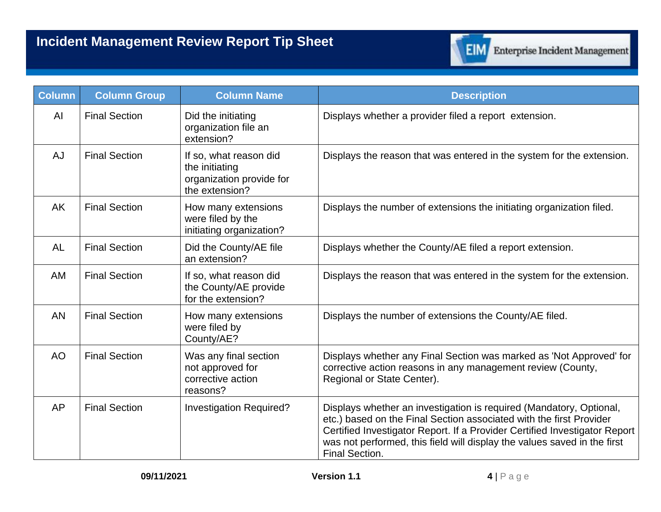

| <b>Column</b> | <b>Column Group</b>  | <b>Column Name</b>                                                                     | <b>Description</b>                                                                                                                                                                                                                                                                                                     |
|---------------|----------------------|----------------------------------------------------------------------------------------|------------------------------------------------------------------------------------------------------------------------------------------------------------------------------------------------------------------------------------------------------------------------------------------------------------------------|
| AI            | <b>Final Section</b> | Did the initiating<br>organization file an<br>extension?                               | Displays whether a provider filed a report extension.                                                                                                                                                                                                                                                                  |
| <b>AJ</b>     | <b>Final Section</b> | If so, what reason did<br>the initiating<br>organization provide for<br>the extension? | Displays the reason that was entered in the system for the extension.                                                                                                                                                                                                                                                  |
| <b>AK</b>     | <b>Final Section</b> | How many extensions<br>were filed by the<br>initiating organization?                   | Displays the number of extensions the initiating organization filed.                                                                                                                                                                                                                                                   |
| AL            | <b>Final Section</b> | Did the County/AE file<br>an extension?                                                | Displays whether the County/AE filed a report extension.                                                                                                                                                                                                                                                               |
| AM            | <b>Final Section</b> | If so, what reason did<br>the County/AE provide<br>for the extension?                  | Displays the reason that was entered in the system for the extension.                                                                                                                                                                                                                                                  |
| <b>AN</b>     | <b>Final Section</b> | How many extensions<br>were filed by<br>County/AE?                                     | Displays the number of extensions the County/AE filed.                                                                                                                                                                                                                                                                 |
| <b>AO</b>     | <b>Final Section</b> | Was any final section<br>not approved for<br>corrective action<br>reasons?             | Displays whether any Final Section was marked as 'Not Approved' for<br>corrective action reasons in any management review (County,<br>Regional or State Center).                                                                                                                                                       |
| <b>AP</b>     | <b>Final Section</b> | Investigation Required?                                                                | Displays whether an investigation is required (Mandatory, Optional,<br>etc.) based on the Final Section associated with the first Provider<br>Certified Investigator Report. If a Provider Certified Investigator Report<br>was not performed, this field will display the values saved in the first<br>Final Section. |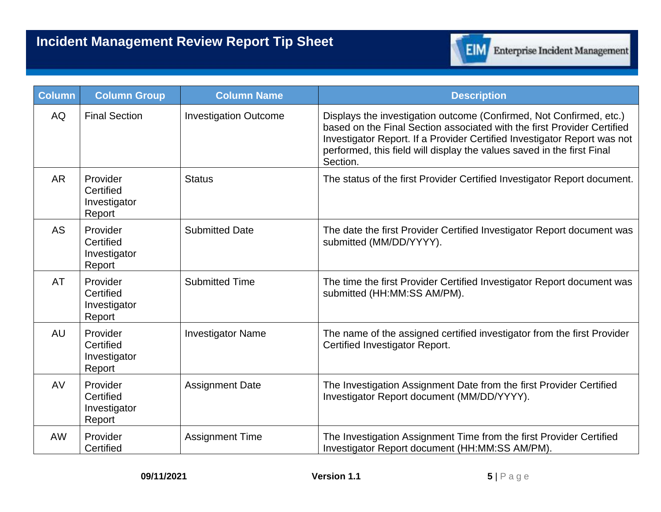

| <b>Column</b> | <b>Column Group</b>                             | <b>Column Name</b>           | <b>Description</b>                                                                                                                                                                                                                                                                                               |
|---------------|-------------------------------------------------|------------------------------|------------------------------------------------------------------------------------------------------------------------------------------------------------------------------------------------------------------------------------------------------------------------------------------------------------------|
| <b>AQ</b>     | <b>Final Section</b>                            | <b>Investigation Outcome</b> | Displays the investigation outcome (Confirmed, Not Confirmed, etc.)<br>based on the Final Section associated with the first Provider Certified<br>Investigator Report. If a Provider Certified Investigator Report was not<br>performed, this field will display the values saved in the first Final<br>Section. |
| <b>AR</b>     | Provider<br>Certified<br>Investigator<br>Report | <b>Status</b>                | The status of the first Provider Certified Investigator Report document.                                                                                                                                                                                                                                         |
| <b>AS</b>     | Provider<br>Certified<br>Investigator<br>Report | <b>Submitted Date</b>        | The date the first Provider Certified Investigator Report document was<br>submitted (MM/DD/YYYY).                                                                                                                                                                                                                |
| <b>AT</b>     | Provider<br>Certified<br>Investigator<br>Report | <b>Submitted Time</b>        | The time the first Provider Certified Investigator Report document was<br>submitted (HH:MM:SS AM/PM).                                                                                                                                                                                                            |
| <b>AU</b>     | Provider<br>Certified<br>Investigator<br>Report | <b>Investigator Name</b>     | The name of the assigned certified investigator from the first Provider<br>Certified Investigator Report.                                                                                                                                                                                                        |
| AV            | Provider<br>Certified<br>Investigator<br>Report | <b>Assignment Date</b>       | The Investigation Assignment Date from the first Provider Certified<br>Investigator Report document (MM/DD/YYYY).                                                                                                                                                                                                |
| AW            | Provider<br>Certified                           | <b>Assignment Time</b>       | The Investigation Assignment Time from the first Provider Certified<br>Investigator Report document (HH:MM:SS AM/PM).                                                                                                                                                                                            |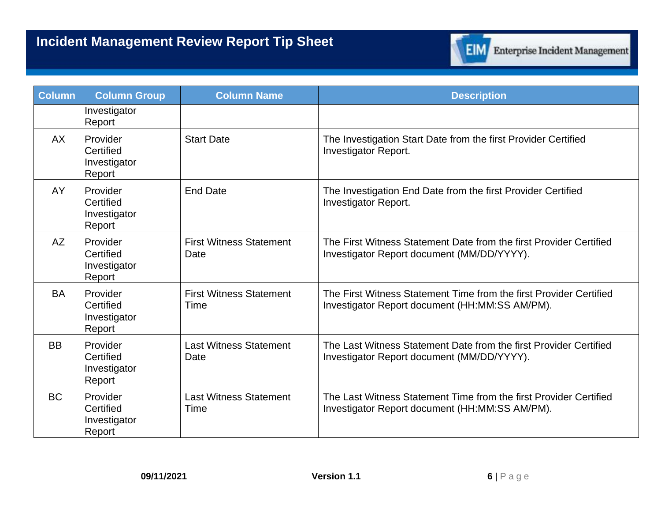## **Incident Management Review Report Tip Sheet**



| Column    | <b>Column Group</b>                             | <b>Column Name</b>                     | <b>Description</b>                                                                                                   |
|-----------|-------------------------------------------------|----------------------------------------|----------------------------------------------------------------------------------------------------------------------|
|           | Investigator<br>Report                          |                                        |                                                                                                                      |
| <b>AX</b> | Provider<br>Certified<br>Investigator<br>Report | <b>Start Date</b>                      | The Investigation Start Date from the first Provider Certified<br>Investigator Report.                               |
| AY        | Provider<br>Certified<br>Investigator<br>Report | <b>End Date</b>                        | The Investigation End Date from the first Provider Certified<br><b>Investigator Report.</b>                          |
| <b>AZ</b> | Provider<br>Certified<br>Investigator<br>Report | <b>First Witness Statement</b><br>Date | The First Witness Statement Date from the first Provider Certified<br>Investigator Report document (MM/DD/YYYY).     |
| <b>BA</b> | Provider<br>Certified<br>Investigator<br>Report | <b>First Witness Statement</b><br>Time | The First Witness Statement Time from the first Provider Certified<br>Investigator Report document (HH:MM:SS AM/PM). |
| <b>BB</b> | Provider<br>Certified<br>Investigator<br>Report | <b>Last Witness Statement</b><br>Date  | The Last Witness Statement Date from the first Provider Certified<br>Investigator Report document (MM/DD/YYYY).      |
| <b>BC</b> | Provider<br>Certified<br>Investigator<br>Report | <b>Last Witness Statement</b><br>Time  | The Last Witness Statement Time from the first Provider Certified<br>Investigator Report document (HH:MM:SS AM/PM).  |